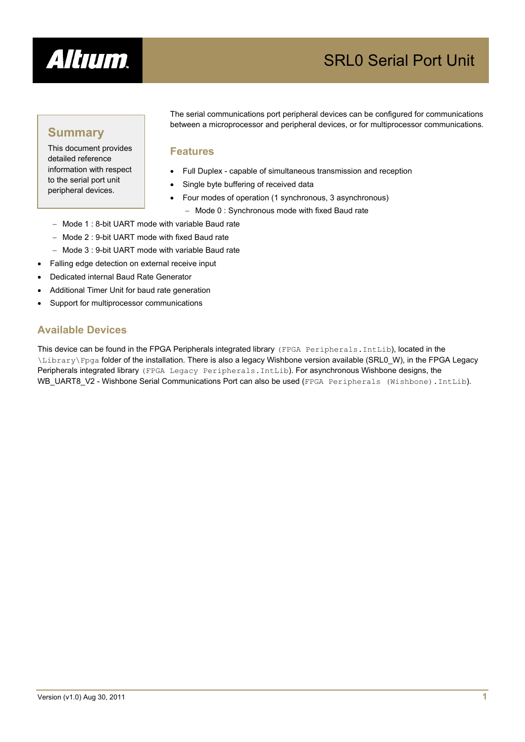

# SRL0 Serial Port Unit

## **Summary**

This document provides detailed reference information with respect to the serial port unit peripheral devices.

The serial communications port peripheral devices can be configured for communications between a microprocessor and peripheral devices, or for multiprocessor communications.

## **Features**

- Full Duplex capable of simultaneous transmission and reception
- Single byte buffering of received data
- Four modes of operation (1 synchronous, 3 asynchronous)
	- − Mode 0 : Synchronous mode with fixed Baud rate
- − Mode 1 : 8-bit UART mode with variable Baud rate
- − Mode 2 : 9-bit UART mode with fixed Baud rate
- − Mode 3 : 9-bit UART mode with variable Baud rate
- Falling edge detection on external receive input
- Dedicated internal Baud Rate Generator
- Additional Timer Unit for baud rate generation
- Support for multiprocessor communications

## **Available Devices**

This device can be found in the FPGA Peripherals integrated library (FPGA Peripherals.IntLib), located in the \Library\Fpga folder of the installation. There is also a legacy Wishbone version available (SRL0\_W), in the FPGA Legacy Peripherals integrated library (FPGA Legacy Peripherals.IntLib). For asynchronous Wishbone designs, the WB\_UART8\_V2 - Wishbone Serial Communications Port can also be used (FPGA Peripherals (Wishbone).IntLib).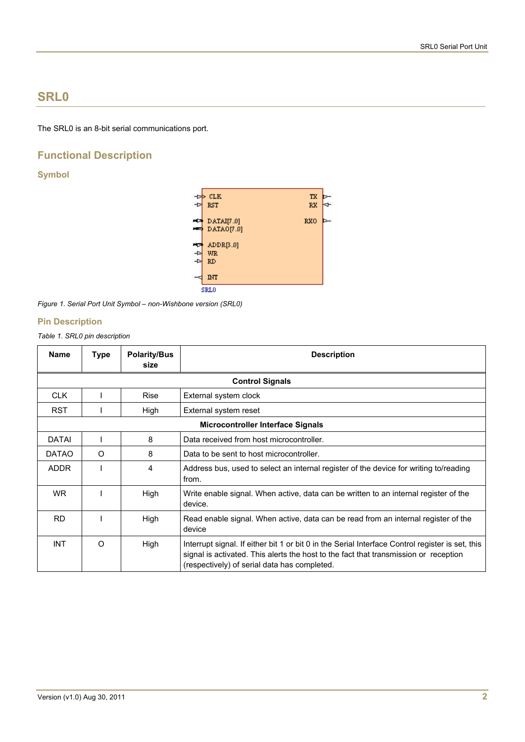## **SRL0**

The SRL0 is an 8-bit serial communications port.

## **Functional Description**

## **Symbol**



*Figure 1. Serial Port Unit Symbol – non-Wishbone version (SRL0)* 

## **Pin Description**

*Table 1. SRL0 pin description* 

| <b>Name</b>  | <b>Type</b> | <b>Polarity/Bus</b><br>size | <b>Description</b>                                                                                                                                                                                                                       |  |
|--------------|-------------|-----------------------------|------------------------------------------------------------------------------------------------------------------------------------------------------------------------------------------------------------------------------------------|--|
|              |             |                             | <b>Control Signals</b>                                                                                                                                                                                                                   |  |
| <b>CLK</b>   |             | <b>Rise</b>                 | External system clock                                                                                                                                                                                                                    |  |
| <b>RST</b>   |             | High                        | External system reset                                                                                                                                                                                                                    |  |
|              |             |                             | <b>Microcontroller Interface Signals</b>                                                                                                                                                                                                 |  |
| <b>DATAI</b> |             | 8                           | Data received from host microcontroller.                                                                                                                                                                                                 |  |
| <b>DATAO</b> | O           | 8                           | Data to be sent to host microcontroller.                                                                                                                                                                                                 |  |
| <b>ADDR</b>  |             | 4                           | Address bus, used to select an internal register of the device for writing to/reading<br>from.                                                                                                                                           |  |
| WR.          |             | High                        | Write enable signal. When active, data can be written to an internal register of the<br>device.                                                                                                                                          |  |
| <b>RD</b>    |             | High                        | Read enable signal. When active, data can be read from an internal register of the<br>device                                                                                                                                             |  |
| <b>INT</b>   | $\Omega$    | High                        | Interrupt signal. If either bit 1 or bit 0 in the Serial Interface Control register is set, this<br>signal is activated. This alerts the host to the fact that transmission or reception<br>(respectively) of serial data has completed. |  |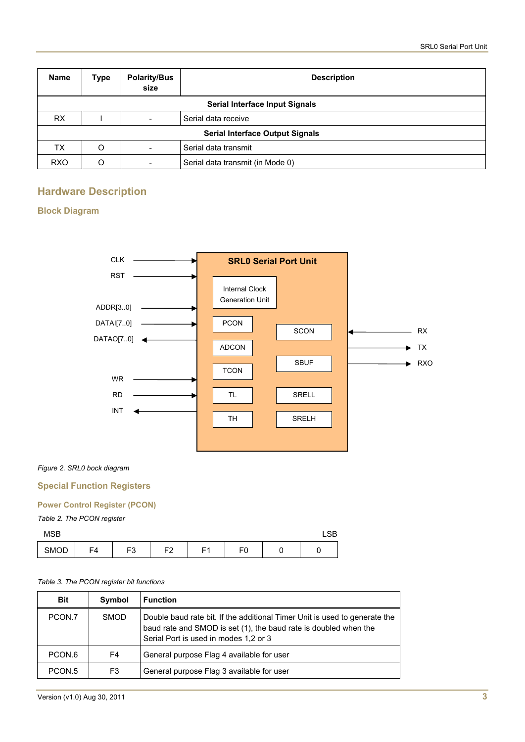| <b>Name</b>                    | Type                                   | <b>Polarity/Bus</b><br>size | <b>Description</b>               |  |  |
|--------------------------------|----------------------------------------|-----------------------------|----------------------------------|--|--|
| Serial Interface Input Signals |                                        |                             |                                  |  |  |
| <b>RX</b>                      |                                        |                             | Serial data receive              |  |  |
|                                | <b>Serial Interface Output Signals</b> |                             |                                  |  |  |
| ТX                             | O                                      | -                           | Serial data transmit             |  |  |
| <b>RXO</b>                     | O                                      |                             | Serial data transmit (in Mode 0) |  |  |

## **Hardware Description**

## **Block Diagram**



## *Figure 2. SRL0 bock diagram*

## **Special Function Registers**

#### **Power Control Register (PCON)**

## *Table 2. The PCON register*

| <b>MSB</b> |    |                |                |    |         | 0 <sub>D</sub><br>∟ວ⊳ |
|------------|----|----------------|----------------|----|---------|-----------------------|
| SMOD       | F4 | r o<br>-<br>ل. | 口つ<br><u>_</u> | Е4 | F٢<br>∼ |                       |

#### *Table 3. The PCON register bit functions*

| <b>Bit</b> | Symbol      | <b>Function</b>                                                                                                                                                                         |
|------------|-------------|-----------------------------------------------------------------------------------------------------------------------------------------------------------------------------------------|
| PCON.7     | <b>SMOD</b> | Double baud rate bit. If the additional Timer Unit is used to generate the<br>baud rate and SMOD is set (1), the baud rate is doubled when the<br>Serial Port is used in modes 1,2 or 3 |
| PCON.6     | F4          | General purpose Flag 4 available for user                                                                                                                                               |
| PCON.5     | F3          | General purpose Flag 3 available for user                                                                                                                                               |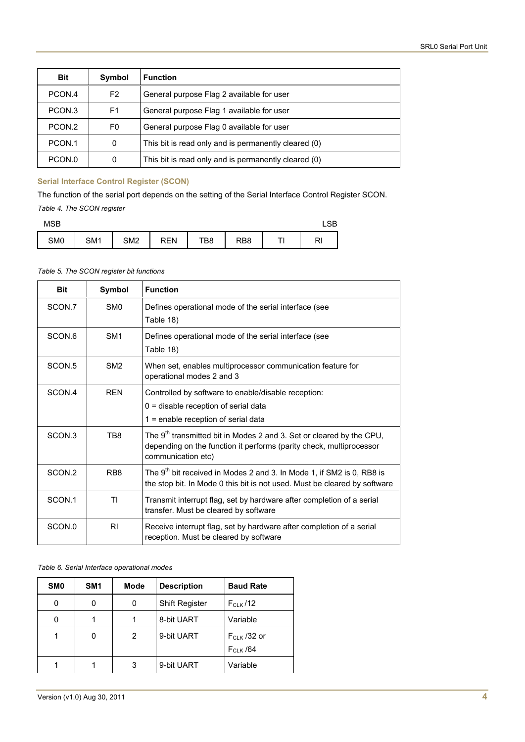| <b>Bit</b> | Symbol         | <b>Function</b>                                      |
|------------|----------------|------------------------------------------------------|
| PCON.4     | F <sub>2</sub> | General purpose Flag 2 available for user            |
| PCON.3     | F1             | General purpose Flag 1 available for user            |
| PCON.2     | F0             | General purpose Flag 0 available for user            |
| PCON.1     | 0              | This bit is read only and is permanently cleared (0) |
| PCON.0     | $\Omega$       | This bit is read only and is permanently cleared (0) |

## **Serial Interface Control Register (SCON)**

The function of the serial port depends on the setting of the Serial Interface Control Register SCON. *Table 4. The SCON register* 

| MSB             |     |     |            |     |     |          | LSB |
|-----------------|-----|-----|------------|-----|-----|----------|-----|
| SM <sub>0</sub> | SM1 | SM2 | <b>REN</b> | TB8 | RB8 | ᠇<br>. . | RI  |

#### *Table 5. The SCON register bit functions*

| <b>Bit</b>         | Symbol           | <b>Function</b>                                                                                                                                                               |
|--------------------|------------------|-------------------------------------------------------------------------------------------------------------------------------------------------------------------------------|
| SCON.7             | SM <sub>0</sub>  | Defines operational mode of the serial interface (see<br>Table 18)                                                                                                            |
| SCON.6             | SM <sub>1</sub>  | Defines operational mode of the serial interface (see<br>Table 18)                                                                                                            |
| SCON <sub>.5</sub> | SM <sub>2</sub>  | When set, enables multiprocessor communication feature for<br>operational modes 2 and 3                                                                                       |
| SCON.4             | <b>REN</b>       | Controlled by software to enable/disable reception:<br>0 = disable reception of serial data<br>1 = enable reception of serial data                                            |
| SCON 3             | TB8              | The 9 <sup>th</sup> transmitted bit in Modes 2 and 3. Set or cleared by the CPU,<br>depending on the function it performs (parity check, multiprocessor<br>communication etc) |
| SCON.2             | R <sub>B</sub> 8 | The 9 <sup>th</sup> bit received in Modes 2 and 3. In Mode 1, if SM2 is 0, RB8 is<br>the stop bit. In Mode 0 this bit is not used. Must be cleared by software                |
| SCON.1             | ΤI               | Transmit interrupt flag, set by hardware after completion of a serial<br>transfer. Must be cleared by software                                                                |
| SCON.0             | R <sub>l</sub>   | Receive interrupt flag, set by hardware after completion of a serial<br>reception. Must be cleared by software                                                                |

#### *Table 6. Serial Interface operational modes*

| <b>SMO</b> | SM <sub>1</sub> | Mode | <b>Description</b>    | <b>Baud Rate</b> |
|------------|-----------------|------|-----------------------|------------------|
| 0          | 0               | 0    | <b>Shift Register</b> | $F_{CIX}$ /12    |
| 0          |                 |      | 8-bit UART            | Variable         |
|            | 0               | 2    | 9-bit UART            | $F_{CLK}$ /32 or |
|            |                 |      |                       | $F_{CLK}$ /64    |
|            |                 | 3    | 9-bit UART            | Variable         |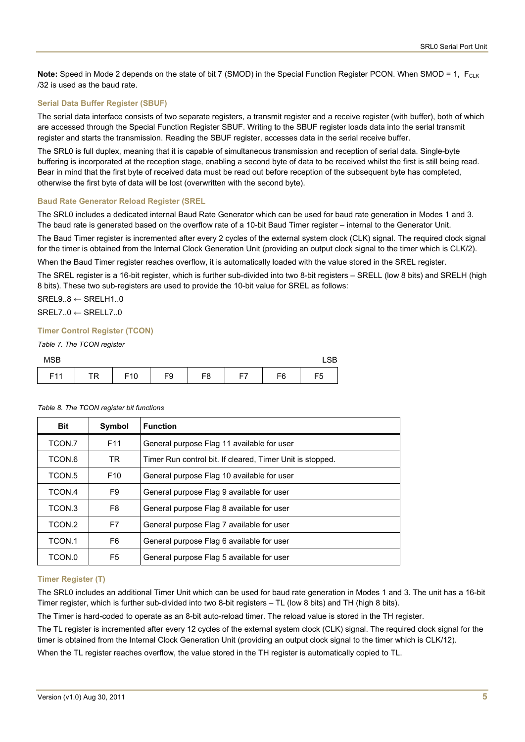**Note:** Speed in Mode 2 depends on the state of bit 7 (SMOD) in the Special Function Register PCON. When SMOD = 1, F<sub>CLK</sub> /32 is used as the baud rate.

#### **Serial Data Buffer Register (SBUF)**

The serial data interface consists of two separate registers, a transmit register and a receive register (with buffer), both of which are accessed through the Special Function Register SBUF. Writing to the SBUF register loads data into the serial transmit register and starts the transmission. Reading the SBUF register, accesses data in the serial receive buffer.

The SRL0 is full duplex, meaning that it is capable of simultaneous transmission and reception of serial data. Single-byte buffering is incorporated at the reception stage, enabling a second byte of data to be received whilst the first is still being read. Bear in mind that the first byte of received data must be read out before reception of the subsequent byte has completed, otherwise the first byte of data will be lost (overwritten with the second byte).

#### **Baud Rate Generator Reload Register (SREL**

The SRL0 includes a dedicated internal Baud Rate Generator which can be used for baud rate generation in Modes 1 and 3. The baud rate is generated based on the overflow rate of a 10-bit Baud Timer register – internal to the Generator Unit.

The Baud Timer register is incremented after every 2 cycles of the external system clock (CLK) signal. The required clock signal for the timer is obtained from the Internal Clock Generation Unit (providing an output clock signal to the timer which is CLK/2).

When the Baud Timer register reaches overflow, it is automatically loaded with the value stored in the SREL register.

The SREL register is a 16-bit register, which is further sub-divided into two 8-bit registers – SRELL (low 8 bits) and SRELH (high 8 bits). These two sub-registers are used to provide the 10-bit value for SREL as follows:

 $SREL9..8 \leftarrow SRELH1..0$ 

 $SREL7..0 \leftarrow SRELL7..0$ 

#### **Timer Control Register (TCON)**

*Table 7. The TCON register* 

| <b>MSB</b> |           |                 |    |    |         |    | CD.<br>ᇅ |
|------------|-----------|-----------------|----|----|---------|----|----------|
| E11<br>. . | <b>TR</b> | F <sub>10</sub> | F9 | F8 | ——<br>⊢ | F6 | F5       |

| <b>Bit</b> | Symbol          | <b>Function</b>                                           |
|------------|-----------------|-----------------------------------------------------------|
| TCON.7     | F <sub>11</sub> | General purpose Flag 11 available for user                |
| TCON.6     | TR.             | Timer Run control bit. If cleared, Timer Unit is stopped. |
| TCON.5     | F <sub>10</sub> | General purpose Flag 10 available for user                |
| TCON.4     | F9              | General purpose Flag 9 available for user                 |
| TCON.3     | F8              | General purpose Flag 8 available for user                 |
| TCON 2     | F7              | General purpose Flag 7 available for user                 |
| TCON.1     | F6              | General purpose Flag 6 available for user                 |
| TCON.0     | F5              | General purpose Flag 5 available for user                 |

#### *Table 8. The TCON register bit functions*

#### **Timer Register (T)**

The SRL0 includes an additional Timer Unit which can be used for baud rate generation in Modes 1 and 3. The unit has a 16-bit Timer register, which is further sub-divided into two 8-bit registers – TL (low 8 bits) and TH (high 8 bits).

The Timer is hard-coded to operate as an 8-bit auto-reload timer. The reload value is stored in the TH register.

The TL register is incremented after every 12 cycles of the external system clock (CLK) signal. The required clock signal for the timer is obtained from the Internal Clock Generation Unit (providing an output clock signal to the timer which is CLK/12).

When the TL register reaches overflow, the value stored in the TH register is automatically copied to TL.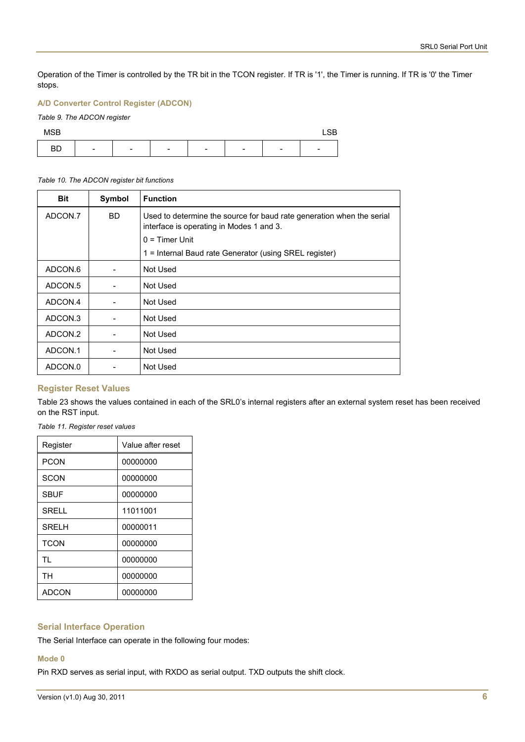Operation of the Timer is controlled by the TR bit in the TCON register. If TR is '1', the Timer is running. If TR is '0' the Timer stops.

## **A/D Converter Control Register (ADCON)**

## *Table 9. The ADCON register*



#### *Table 10. The ADCON register bit functions*

| <b>Bit</b> | Symbol | <b>Function</b>                                                                                                   |
|------------|--------|-------------------------------------------------------------------------------------------------------------------|
| ADCON.7    | BD.    | Used to determine the source for baud rate generation when the serial<br>interface is operating in Modes 1 and 3. |
|            |        | $0 =$ Timer Unit                                                                                                  |
|            |        | 1 = Internal Baud rate Generator (using SREL register)                                                            |
| ADCON.6    |        | Not Used                                                                                                          |
| ADCON.5    |        | Not Used                                                                                                          |
| ADCON.4    |        | Not Used                                                                                                          |
| ADCON.3    |        | Not Used                                                                                                          |
| ADCON.2    |        | Not Used                                                                                                          |
| ADCON.1    |        | Not Used                                                                                                          |
| ADCON.0    |        | Not Used                                                                                                          |

#### **Register Reset Values**

[Table 23](#page-5-0) shows the values contained in each of the SRL0's internal registers after an external system reset has been received on the RST input.

<span id="page-5-0"></span>*Table 11. Register reset values* 

| Register     | Value after reset |
|--------------|-------------------|
| <b>PCON</b>  | 00000000          |
| <b>SCON</b>  | 00000000          |
| <b>SBUF</b>  | 00000000          |
| <b>SRELL</b> | 11011001          |
| <b>SRELH</b> | 00000011          |
| <b>TCON</b>  | 00000000          |
| TI.          | 00000000          |
| <b>TH</b>    | 00000000          |
| ADCON        | 00000000          |

## **Serial Interface Operation**

The Serial Interface can operate in the following four modes:

#### **Mode 0**

Pin RXD serves as serial input, with RXDO as serial output. TXD outputs the shift clock.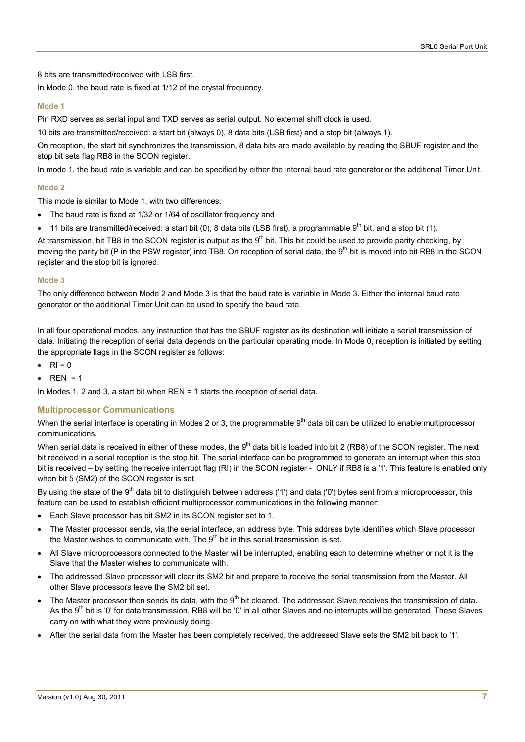8 bits are transmitted/received with LSB first.

In Mode 0, the baud rate is fixed at 1/12 of the crystal frequency.

#### **Mode 1**

Pin RXD serves as serial input and TXD serves as serial output. No external shift clock is used.

10 bits are transmitted/received: a start bit (always 0), 8 data bits (LSB first) and a stop bit (always 1).

On reception, the start bit synchronizes the transmission, 8 data bits are made available by reading the SBUF register and the stop bit sets flag RB8 in the SCON register.

In mode 1, the baud rate is variable and can be specified by either the internal baud rate generator or the additional Timer Unit.

#### **Mode 2**

This mode is similar to Mode 1, with two differences:

- The baud rate is fixed at 1/32 or 1/64 of oscillator frequency and
- 11 bits are transmitted/received: a start bit (0), 8 data bits (LSB first), a programmable  $9<sup>th</sup>$  bit, and a stop bit (1).

At transmission, bit TB8 in the SCON register is output as the  $9<sup>th</sup>$  bit. This bit could be used to provide parity checking, by moving the parity bit (P in the PSW register) into TB8. On reception of serial data, the  $9<sup>th</sup>$  bit is moved into bit RB8 in the SCON register and the stop bit is ignored.

#### **Mode 3**

The only difference between Mode 2 and Mode 3 is that the baud rate is variable in Mode 3. Either the internal baud rate generator or the additional Timer Unit can be used to specify the baud rate.

In all four operational modes, any instruction that has the SBUF register as its destination will initiate a serial transmission of data. Initiating the reception of serial data depends on the particular operating mode. In Mode 0, reception is initiated by setting the appropriate flags in the SCON register as follows:

- $RI = 0$
- $REN = 1$

In Modes 1, 2 and 3, a start bit when REN = 1 starts the reception of serial data.

#### **Multiprocessor Communications**

When the serial interface is operating in Modes 2 or 3, the programmable  $9<sup>th</sup>$  data bit can be utilized to enable multiprocessor communications.

When serial data is received in either of these modes, the 9<sup>th</sup> data bit is loaded into bit 2 (RB8) of the SCON register. The next bit received in a serial reception is the stop bit. The serial interface can be programmed to generate an interrupt when this stop bit is received – by setting the receive interrupt flag (RI) in the SCON register - ONLY if RB8 is a '1'. This feature is enabled only when bit 5 (SM2) of the SCON register is set.

By using the state of the 9<sup>th</sup> data bit to distinguish between address ('1') and data ('0') bytes sent from a microprocessor, this feature can be used to establish efficient multiprocessor communications in the following manner:

- Each Slave processor has bit SM2 in its SCON register set to 1.
- The Master processor sends, via the serial interface, an address byte. This address byte identifies which Slave processor the Master wishes to communicate with. The  $9<sup>th</sup>$  bit in this serial transmission is set.
- All Slave microprocessors connected to the Master will be interrupted, enabling each to determine whether or not it is the Slave that the Master wishes to communicate with.
- The addressed Slave processor will clear its SM2 bit and prepare to receive the serial transmission from the Master. All other Slave processors leave the SM2 bit set.
- The Master processor then sends its data, with the  $9<sup>th</sup>$  bit cleared. The addressed Slave receives the transmission of data. As the 9<sup>th</sup> bit is '0' for data transmission, RB8 will be '0' in all other Slaves and no interrupts will be generated. These Slaves carry on with what they were previously doing.
- After the serial data from the Master has been completely received, the addressed Slave sets the SM2 bit back to '1'.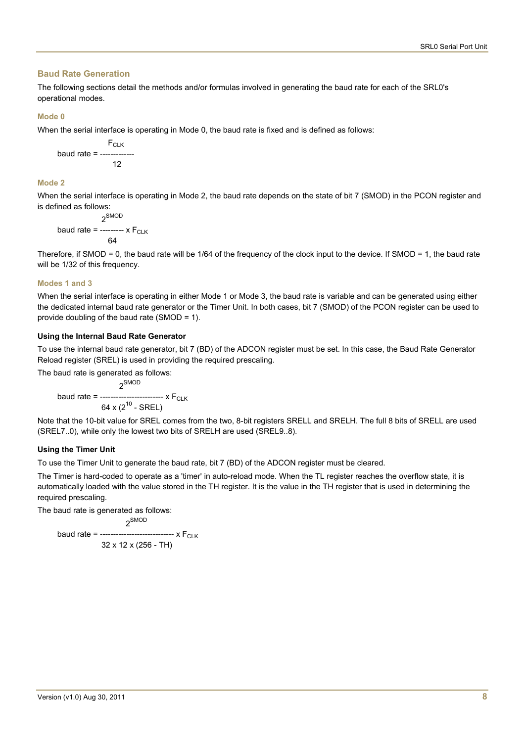#### **Baud Rate Generation**

The following sections detail the methods and/or formulas involved in generating the baud rate for each of the SRL0's operational modes.

#### **Mode 0**

When the serial interface is operating in Mode 0, the baud rate is fixed and is defined as follows:

**F**CLK baud rate = -------------  $12$ 

#### **Mode 2**

When the serial interface is operating in Mode 2, the baud rate depends on the state of bit 7 (SMOD) in the PCON register and is defined as follows:

$$
2^{\text{SMOD}}
$$
  
\n
$$
\text{baud rate} = \frac{2^{\text{SMOD}}}{64}
$$

Therefore, if SMOD = 0, the baud rate will be 1/64 of the frequency of the clock input to the device. If SMOD = 1, the baud rate will be 1/32 of this frequency.

#### **Modes 1 and 3**

When the serial interface is operating in either Mode 1 or Mode 3, the baud rate is variable and can be generated using either the dedicated internal baud rate generator or the Timer Unit. In both cases, bit 7 (SMOD) of the PCON register can be used to provide doubling of the baud rate (SMOD = 1).

## **Using the Internal Baud Rate Generator**

To use the internal baud rate generator, bit 7 (BD) of the ADCON register must be set. In this case, the Baud Rate Generator Reload register (SREL) is used in providing the required prescaling.

The baud rate is generated as follows:

 2SMOD baud rate = ------------------------ x FCLK 64 x  $(2^{10}$  - SREL)

Note that the 10-bit value for SREL comes from the two, 8-bit registers SRELL and SRELH. The full 8 bits of SRELL are used (SREL7..0), while only the lowest two bits of SRELH are used (SREL9..8).

## **Using the Timer Unit**

To use the Timer Unit to generate the baud rate, bit 7 (BD) of the ADCON register must be cleared.

The Timer is hard-coded to operate as a 'timer' in auto-reload mode. When the TL register reaches the overflow state, it is automatically loaded with the value stored in the TH register. It is the value in the TH register that is used in determining the required prescaling.

The baud rate is generated as follows:

 2SMOD baud rate = ------------------------------  $\times$   $F_{CLK}$ 32 x 12 x (256 - TH)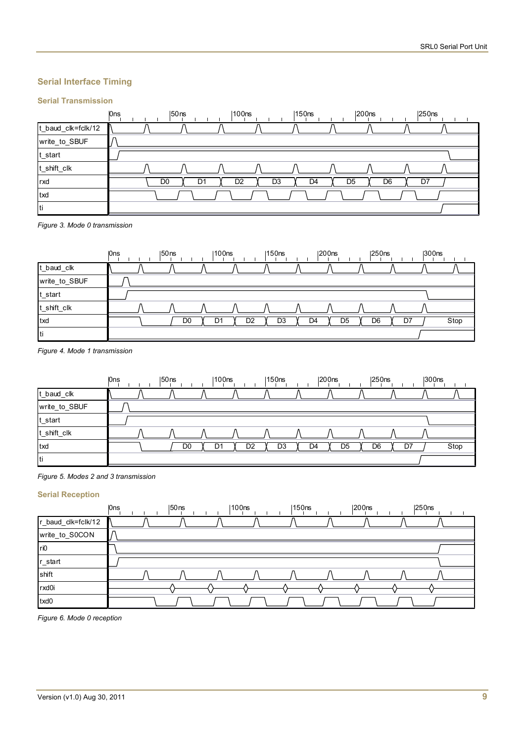## **Serial Interface Timing**

## **Serial Transmission**



*Figure 3. Mode 0 transmission* 



*Figure 4. Mode 1 transmission* 



#### *Figure 5. Modes 2 and 3 transmission*

## **Serial Reception**

|                    | <b>Ons</b> | $ 50$ ns | 100 <sub>ns</sub> | 150ns | 200 <sub>ns</sub> | $ 250$ ns |  |
|--------------------|------------|----------|-------------------|-------|-------------------|-----------|--|
| r_baud_clk=fclk/12 |            |          |                   |       |                   |           |  |
| write_to_S0CON     |            |          |                   |       |                   |           |  |
| ri0                |            |          |                   |       |                   |           |  |
| r_start            |            |          |                   |       |                   |           |  |
| shift              |            |          |                   |       |                   |           |  |
| rxd0i              |            |          |                   |       |                   |           |  |
| txd0               |            |          |                   |       |                   |           |  |

*Figure 6. Mode 0 reception*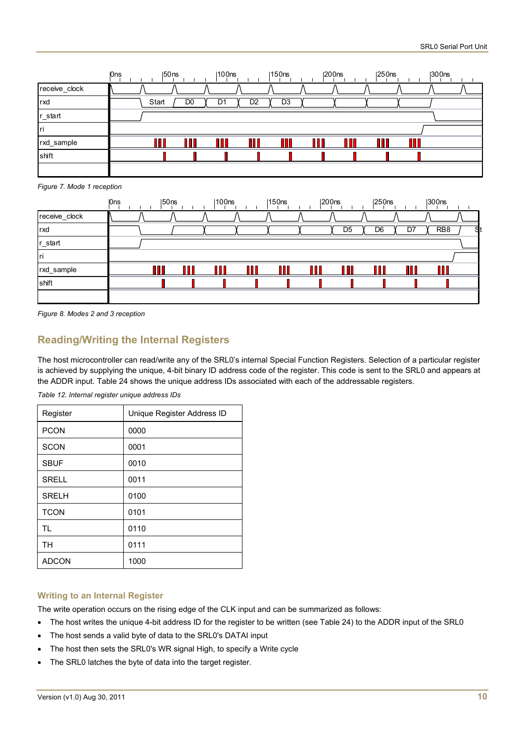|               | 0ns | $ 50$ ns |                | 100ns |                | 150ns          | $ 200$ ns | $ 250$ ns | 300ns |  |
|---------------|-----|----------|----------------|-------|----------------|----------------|-----------|-----------|-------|--|
| receive_clock |     |          |                |       |                |                |           |           |       |  |
| rxd           |     | Start    | D <sub>0</sub> | Dʻ    | D <sub>2</sub> | D <sub>3</sub> |           |           |       |  |
| r_start       |     |          |                |       |                |                |           |           |       |  |
| Iri           |     |          |                |       |                |                |           |           |       |  |
| rxd_sample    |     |          |                | 88    |                |                |           |           |       |  |
| shift         |     |          |                |       |                |                |           |           |       |  |
|               |     |          |                |       |                |                |           |           |       |  |

*Figure 7. Mode 1 reception* 

|               | <b>Ons</b> | $ 50$ ns | 100 <sub>ns</sub> | $ 150$ ns |   | $ 200$ ns | 250 <sub>ns</sub> |    | $ 300$ ns       |  |
|---------------|------------|----------|-------------------|-----------|---|-----------|-------------------|----|-----------------|--|
| receive_clock |            |          |                   |           |   |           |                   |    |                 |  |
| rxd           |            |          |                   |           |   | D5        | D6                | Dī | RB <sub>8</sub> |  |
| r_start       |            |          |                   |           |   |           |                   |    |                 |  |
| Iri           |            |          |                   |           |   |           |                   |    |                 |  |
| rxd_sample    |            |          | ПП                |           | M |           |                   |    | П               |  |
| shift         |            |          |                   |           |   |           |                   |    |                 |  |
|               |            |          |                   |           |   |           |                   |    |                 |  |

*Figure 8. Modes 2 and 3 reception* 

## **Reading/Writing the Internal Registers**

The host microcontroller can read/write any of the SRL0's internal Special Function Registers. Selection of a particular register is achieved by supplying the unique, 4-bit binary ID address code of the register. This code is sent to the SRL0 and appears at the ADDR input. [Table 24](#page-9-0) shows the unique address IDs associated with each of the addressable registers.

*Table 12. Internal register unique address IDs* 

<span id="page-9-0"></span>

| Register     | Unique Register Address ID |
|--------------|----------------------------|
| <b>PCON</b>  | 0000                       |
| <b>SCON</b>  | 0001                       |
| <b>SBUF</b>  | 0010                       |
| <b>SRELL</b> | 0011                       |
| <b>SRELH</b> | 0100                       |
| <b>TCON</b>  | 0101                       |
| <b>TL</b>    | 0110                       |
| <b>TH</b>    | 0111                       |
| <b>ADCON</b> | 1000                       |

#### **Writing to an Internal Register**

The write operation occurs on the rising edge of the CLK input and can be summarized as follows:

- The host writes the unique 4-bit address ID for the register to be written (see [Table 24](#page-9-0)) to the ADDR input of the SRL0
- The host sends a valid byte of data to the SRL0's DATAI input
- The host then sets the SRL0's WR signal High, to specify a Write cycle
- The SRL0 latches the byte of data into the target register.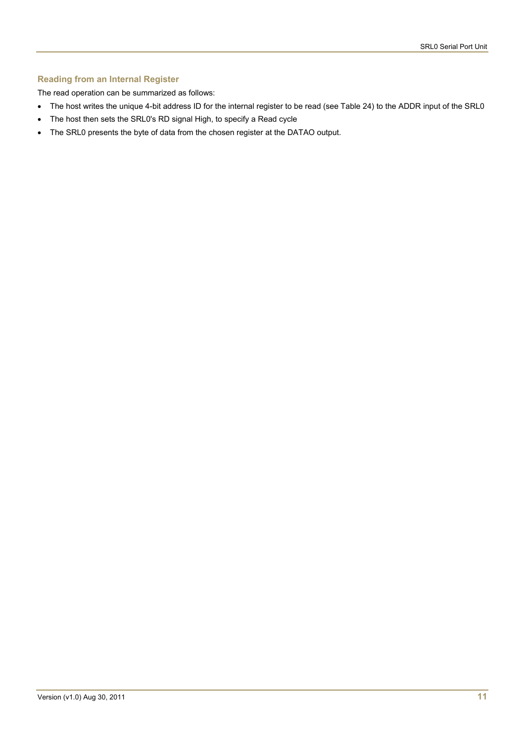## **Reading from an Internal Register**

The read operation can be summarized as follows:

- The host writes the unique 4-bit address ID for the internal register to be read (see [Table 24\)](#page-9-0) to the ADDR input of the SRL0
- The host then sets the SRL0's RD signal High, to specify a Read cycle
- The SRL0 presents the byte of data from the chosen register at the DATAO output.